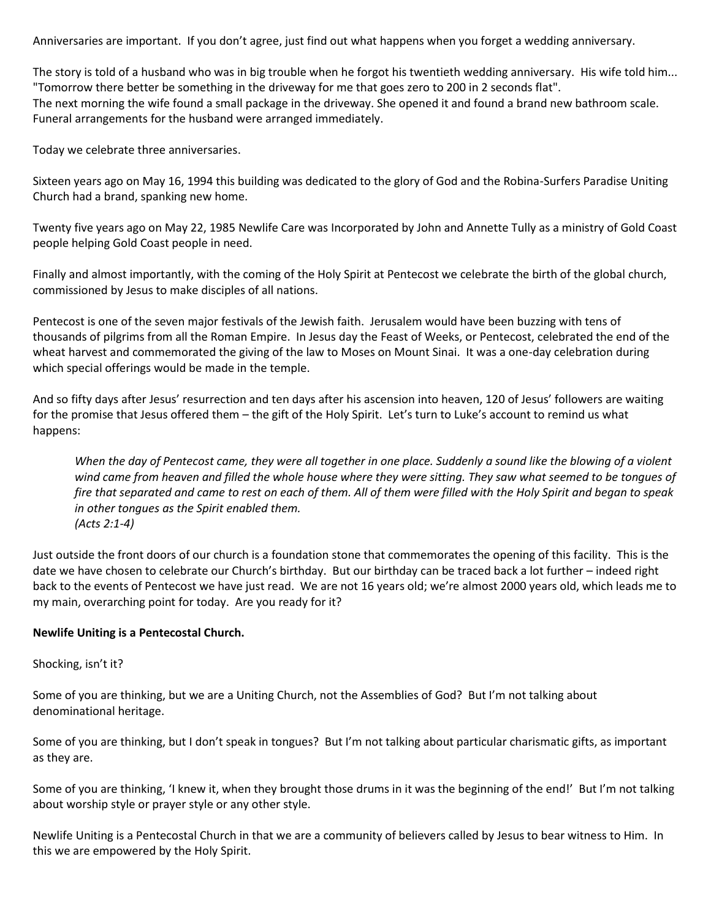Anniversaries are important. If you don't agree, just find out what happens when you forget a wedding anniversary.

The story is told of a husband who was in big trouble when he forgot his twentieth wedding anniversary. His wife told him... "Tomorrow there better be something in the driveway for me that goes zero to 200 in 2 seconds flat". The next morning the wife found a small package in the driveway. She opened it and found a brand new bathroom scale. Funeral arrangements for the husband were arranged immediately.

Today we celebrate three anniversaries.

Sixteen years ago on May 16, 1994 this building was dedicated to the glory of God and the Robina-Surfers Paradise Uniting Church had a brand, spanking new home.

Twenty five years ago on May 22, 1985 Newlife Care was Incorporated by John and Annette Tully as a ministry of Gold Coast people helping Gold Coast people in need.

Finally and almost importantly, with the coming of the Holy Spirit at Pentecost we celebrate the birth of the global church, commissioned by Jesus to make disciples of all nations.

Pentecost is one of the seven major festivals of the Jewish faith. Jerusalem would have been buzzing with tens of thousands of pilgrims from all the Roman Empire. In Jesus day the Feast of Weeks, or Pentecost, celebrated the end of the wheat harvest and commemorated the giving of the law to Moses on Mount Sinai. It was a one-day celebration during which special offerings would be made in the temple.

And so fifty days after Jesus' resurrection and ten days after his ascension into heaven, 120 of Jesus' followers are waiting for the promise that Jesus offered them – the gift of the Holy Spirit. Let's turn to Luke's account to remind us what happens:

*When the day of Pentecost came, they were all together in one place. Suddenly a sound like the blowing of a violent wind came from heaven and filled the whole house where they were sitting. They saw what seemed to be tongues of fire that separated and came to rest on each of them. All of them were filled with the Holy Spirit and began to speak in other tongues as the Spirit enabled them. (Acts 2:1-4)*

Just outside the front doors of our church is a foundation stone that commemorates the opening of this facility. This is the date we have chosen to celebrate our Church's birthday. But our birthday can be traced back a lot further – indeed right back to the events of Pentecost we have just read. We are not 16 years old; we're almost 2000 years old, which leads me to my main, overarching point for today. Are you ready for it?

# **Newlife Uniting is a Pentecostal Church.**

#### Shocking, isn't it?

Some of you are thinking, but we are a Uniting Church, not the Assemblies of God? But I'm not talking about denominational heritage.

Some of you are thinking, but I don't speak in tongues? But I'm not talking about particular charismatic gifts, as important as they are.

Some of you are thinking, 'I knew it, when they brought those drums in it was the beginning of the end!' But I'm not talking about worship style or prayer style or any other style.

Newlife Uniting is a Pentecostal Church in that we are a community of believers called by Jesus to bear witness to Him. In this we are empowered by the Holy Spirit.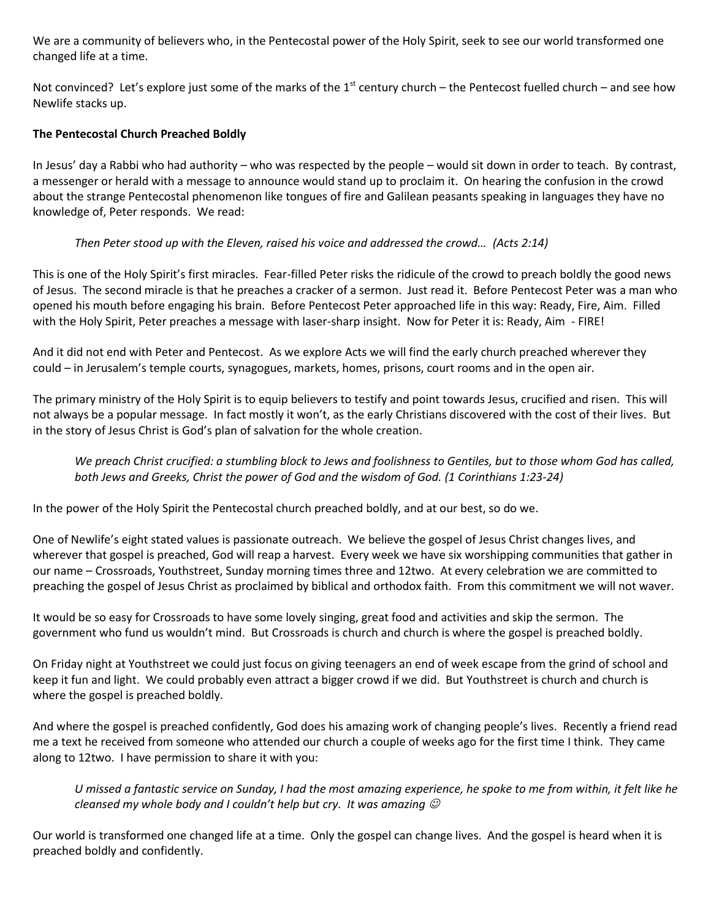We are a community of believers who, in the Pentecostal power of the Holy Spirit, seek to see our world transformed one changed life at a time.

Not convinced? Let's explore just some of the marks of the  $1^{st}$  century church – the Pentecost fuelled church – and see how Newlife stacks up.

## **The Pentecostal Church Preached Boldly**

In Jesus' day a Rabbi who had authority – who was respected by the people – would sit down in order to teach. By contrast, a messenger or herald with a message to announce would stand up to proclaim it. On hearing the confusion in the crowd about the strange Pentecostal phenomenon like tongues of fire and Galilean peasants speaking in languages they have no knowledge of, Peter responds. We read:

# *Then Peter stood up with the Eleven, raised his voice and addressed the crowd… (Acts 2:14)*

This is one of the Holy Spirit's first miracles. Fear-filled Peter risks the ridicule of the crowd to preach boldly the good news of Jesus. The second miracle is that he preaches a cracker of a sermon. Just read it. Before Pentecost Peter was a man who opened his mouth before engaging his brain. Before Pentecost Peter approached life in this way: Ready, Fire, Aim. Filled with the Holy Spirit, Peter preaches a message with laser-sharp insight. Now for Peter it is: Ready, Aim - FIRE!

And it did not end with Peter and Pentecost. As we explore Acts we will find the early church preached wherever they could – in Jerusalem's temple courts, synagogues, markets, homes, prisons, court rooms and in the open air.

The primary ministry of the Holy Spirit is to equip believers to testify and point towards Jesus, crucified and risen. This will not always be a popular message. In fact mostly it won't, as the early Christians discovered with the cost of their lives. But in the story of Jesus Christ is God's plan of salvation for the whole creation.

We preach Christ crucified: a stumbling block to Jews and foolishness to Gentiles, but to those whom God has called, *both Jews and Greeks, Christ the power of God and the wisdom of God. (1 Corinthians 1:23-24)*

In the power of the Holy Spirit the Pentecostal church preached boldly, and at our best, so do we.

One of Newlife's eight stated values is passionate outreach. We believe the gospel of Jesus Christ changes lives, and wherever that gospel is preached, God will reap a harvest. Every week we have six worshipping communities that gather in our name – Crossroads, Youthstreet, Sunday morning times three and 12two. At every celebration we are committed to preaching the gospel of Jesus Christ as proclaimed by biblical and orthodox faith. From this commitment we will not waver.

It would be so easy for Crossroads to have some lovely singing, great food and activities and skip the sermon. The government who fund us wouldn't mind. But Crossroads is church and church is where the gospel is preached boldly.

On Friday night at Youthstreet we could just focus on giving teenagers an end of week escape from the grind of school and keep it fun and light. We could probably even attract a bigger crowd if we did. But Youthstreet is church and church is where the gospel is preached boldly.

And where the gospel is preached confidently, God does his amazing work of changing people's lives. Recently a friend read me a text he received from someone who attended our church a couple of weeks ago for the first time I think. They came along to 12two. I have permission to share it with you:

*U missed a fantastic service on Sunday, I had the most amazing experience, he spoke to me from within, it felt like he cleansed my whole body and I couldn't help but cry. It was amazing* 

Our world is transformed one changed life at a time. Only the gospel can change lives. And the gospel is heard when it is preached boldly and confidently.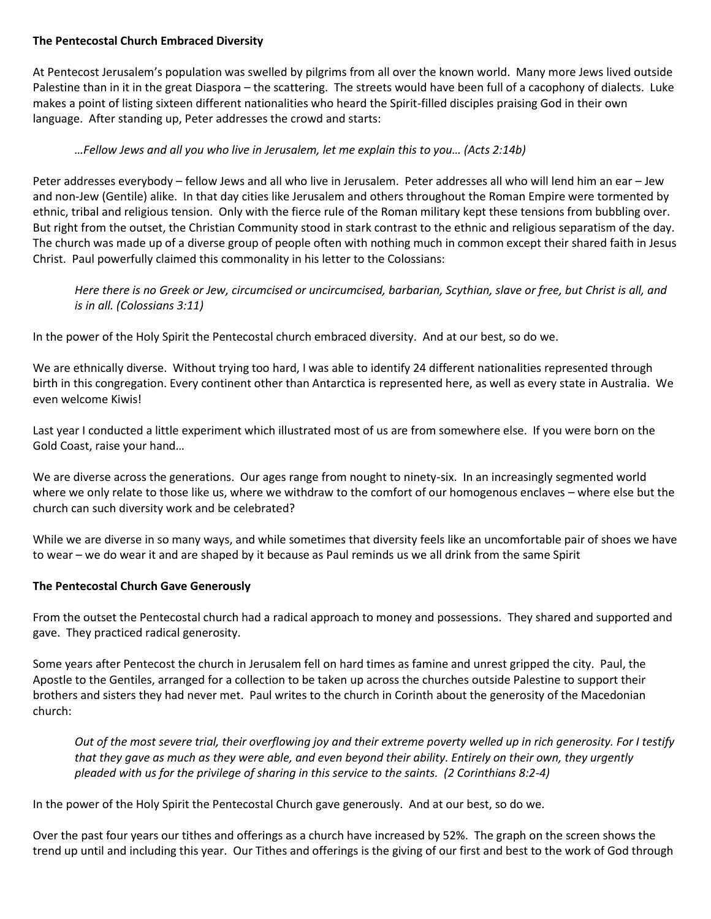#### **The Pentecostal Church Embraced Diversity**

At Pentecost Jerusalem's population was swelled by pilgrims from all over the known world. Many more Jews lived outside Palestine than in it in the great Diaspora – the scattering. The streets would have been full of a cacophony of dialects. Luke makes a point of listing sixteen different nationalities who heard the Spirit-filled disciples praising God in their own language. After standing up, Peter addresses the crowd and starts:

## *…Fellow Jews and all you who live in Jerusalem, let me explain this to you… (Acts 2:14b)*

Peter addresses everybody – fellow Jews and all who live in Jerusalem. Peter addresses all who will lend him an ear – Jew and non-Jew (Gentile) alike. In that day cities like Jerusalem and others throughout the Roman Empire were tormented by ethnic, tribal and religious tension. Only with the fierce rule of the Roman military kept these tensions from bubbling over. But right from the outset, the Christian Community stood in stark contrast to the ethnic and religious separatism of the day. The church was made up of a diverse group of people often with nothing much in common except their shared faith in Jesus Christ. Paul powerfully claimed this commonality in his letter to the Colossians:

*Here there is no Greek or Jew, circumcised or uncircumcised, barbarian, Scythian, slave or free, but Christ is all, and is in all. (Colossians 3:11)*

In the power of the Holy Spirit the Pentecostal church embraced diversity. And at our best, so do we.

We are ethnically diverse. Without trying too hard, I was able to identify 24 different nationalities represented through birth in this congregation. Every continent other than Antarctica is represented here, as well as every state in Australia. We even welcome Kiwis!

Last year I conducted a little experiment which illustrated most of us are from somewhere else. If you were born on the Gold Coast, raise your hand…

We are diverse across the generations. Our ages range from nought to ninety-six. In an increasingly segmented world where we only relate to those like us, where we withdraw to the comfort of our homogenous enclaves – where else but the church can such diversity work and be celebrated?

While we are diverse in so many ways, and while sometimes that diversity feels like an uncomfortable pair of shoes we have to wear – we do wear it and are shaped by it because as Paul reminds us we all drink from the same Spirit

#### **The Pentecostal Church Gave Generously**

From the outset the Pentecostal church had a radical approach to money and possessions. They shared and supported and gave. They practiced radical generosity.

Some years after Pentecost the church in Jerusalem fell on hard times as famine and unrest gripped the city. Paul, the Apostle to the Gentiles, arranged for a collection to be taken up across the churches outside Palestine to support their brothers and sisters they had never met. Paul writes to the church in Corinth about the generosity of the Macedonian church:

*Out of the most severe trial, their overflowing joy and their extreme poverty welled up in rich generosity. For I testify that they gave as much as they were able, and even beyond their ability. Entirely on their own, they urgently pleaded with us for the privilege of sharing in this service to the saints. (2 Corinthians 8:2-4)*

In the power of the Holy Spirit the Pentecostal Church gave generously. And at our best, so do we.

Over the past four years our tithes and offerings as a church have increased by 52%. The graph on the screen shows the trend up until and including this year. Our Tithes and offerings is the giving of our first and best to the work of God through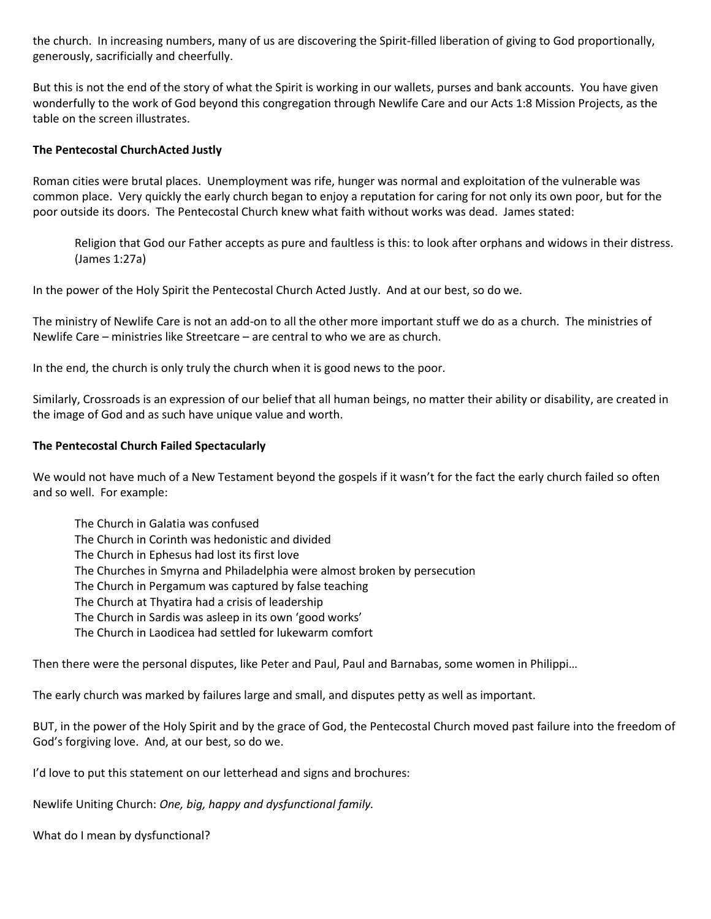the church. In increasing numbers, many of us are discovering the Spirit-filled liberation of giving to God proportionally, generously, sacrificially and cheerfully.

But this is not the end of the story of what the Spirit is working in our wallets, purses and bank accounts. You have given wonderfully to the work of God beyond this congregation through Newlife Care and our Acts 1:8 Mission Projects, as the table on the screen illustrates.

#### **The Pentecostal ChurchActed Justly**

Roman cities were brutal places. Unemployment was rife, hunger was normal and exploitation of the vulnerable was common place. Very quickly the early church began to enjoy a reputation for caring for not only its own poor, but for the poor outside its doors. The Pentecostal Church knew what faith without works was dead. James stated:

Religion that God our Father accepts as pure and faultless is this: to look after orphans and widows in their distress. (James 1:27a)

In the power of the Holy Spirit the Pentecostal Church Acted Justly. And at our best, so do we.

The ministry of Newlife Care is not an add-on to all the other more important stuff we do as a church. The ministries of Newlife Care – ministries like Streetcare – are central to who we are as church.

In the end, the church is only truly the church when it is good news to the poor.

Similarly, Crossroads is an expression of our belief that all human beings, no matter their ability or disability, are created in the image of God and as such have unique value and worth.

#### **The Pentecostal Church Failed Spectacularly**

We would not have much of a New Testament beyond the gospels if it wasn't for the fact the early church failed so often and so well. For example:

The Church in Galatia was confused The Church in Corinth was hedonistic and divided The Church in Ephesus had lost its first love The Churches in Smyrna and Philadelphia were almost broken by persecution The Church in Pergamum was captured by false teaching The Church at Thyatira had a crisis of leadership The Church in Sardis was asleep in its own 'good works' The Church in Laodicea had settled for lukewarm comfort

Then there were the personal disputes, like Peter and Paul, Paul and Barnabas, some women in Philippi…

The early church was marked by failures large and small, and disputes petty as well as important.

BUT, in the power of the Holy Spirit and by the grace of God, the Pentecostal Church moved past failure into the freedom of God's forgiving love. And, at our best, so do we.

I'd love to put this statement on our letterhead and signs and brochures:

Newlife Uniting Church: *One, big, happy and dysfunctional family.*

What do I mean by dysfunctional?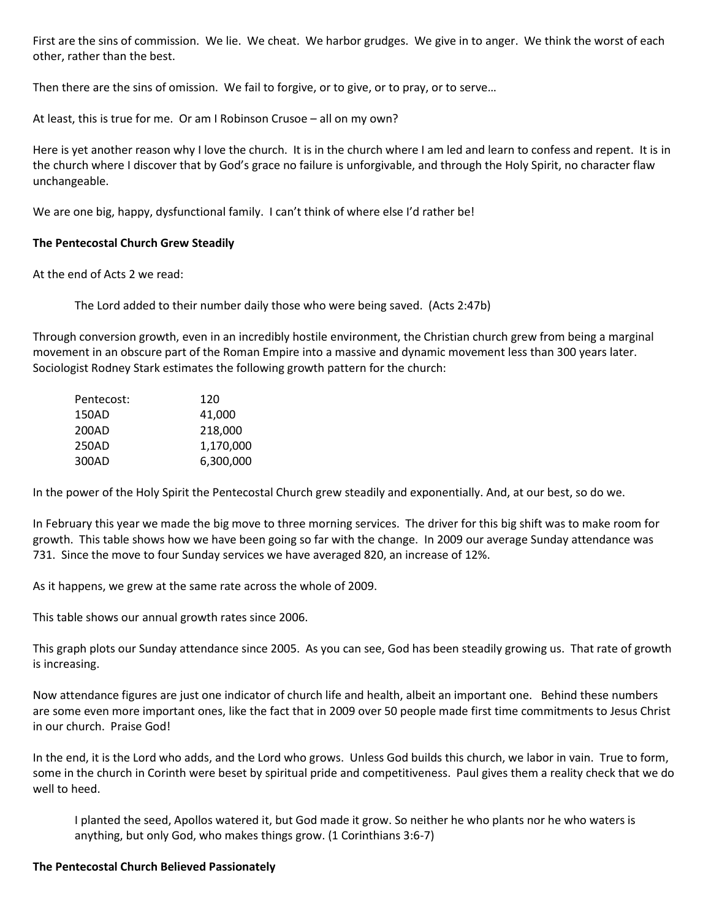First are the sins of commission. We lie. We cheat. We harbor grudges. We give in to anger. We think the worst of each other, rather than the best.

Then there are the sins of omission. We fail to forgive, or to give, or to pray, or to serve…

At least, this is true for me. Or am I Robinson Crusoe – all on my own?

Here is yet another reason why I love the church. It is in the church where I am led and learn to confess and repent. It is in the church where I discover that by God's grace no failure is unforgivable, and through the Holy Spirit, no character flaw unchangeable.

We are one big, happy, dysfunctional family. I can't think of where else I'd rather be!

## **The Pentecostal Church Grew Steadily**

At the end of Acts 2 we read:

The Lord added to their number daily those who were being saved. (Acts 2:47b)

Through conversion growth, even in an incredibly hostile environment, the Christian church grew from being a marginal movement in an obscure part of the Roman Empire into a massive and dynamic movement less than 300 years later. Sociologist Rodney Stark estimates the following growth pattern for the church:

| Pentecost: | 120       |
|------------|-----------|
| 150AD      | 41,000    |
| 200AD      | 218,000   |
| 250AD      | 1,170,000 |
| 300AD      | 6,300,000 |

In the power of the Holy Spirit the Pentecostal Church grew steadily and exponentially. And, at our best, so do we.

In February this year we made the big move to three morning services. The driver for this big shift was to make room for growth. This table shows how we have been going so far with the change. In 2009 our average Sunday attendance was 731. Since the move to four Sunday services we have averaged 820, an increase of 12%.

As it happens, we grew at the same rate across the whole of 2009.

This table shows our annual growth rates since 2006.

This graph plots our Sunday attendance since 2005. As you can see, God has been steadily growing us. That rate of growth is increasing.

Now attendance figures are just one indicator of church life and health, albeit an important one. Behind these numbers are some even more important ones, like the fact that in 2009 over 50 people made first time commitments to Jesus Christ in our church. Praise God!

In the end, it is the Lord who adds, and the Lord who grows. Unless God builds this church, we labor in vain. True to form, some in the church in Corinth were beset by spiritual pride and competitiveness. Paul gives them a reality check that we do well to heed.

I planted the seed, Apollos watered it, but God made it grow. So neither he who plants nor he who waters is anything, but only God, who makes things grow. (1 Corinthians 3:6-7)

#### **The Pentecostal Church Believed Passionately**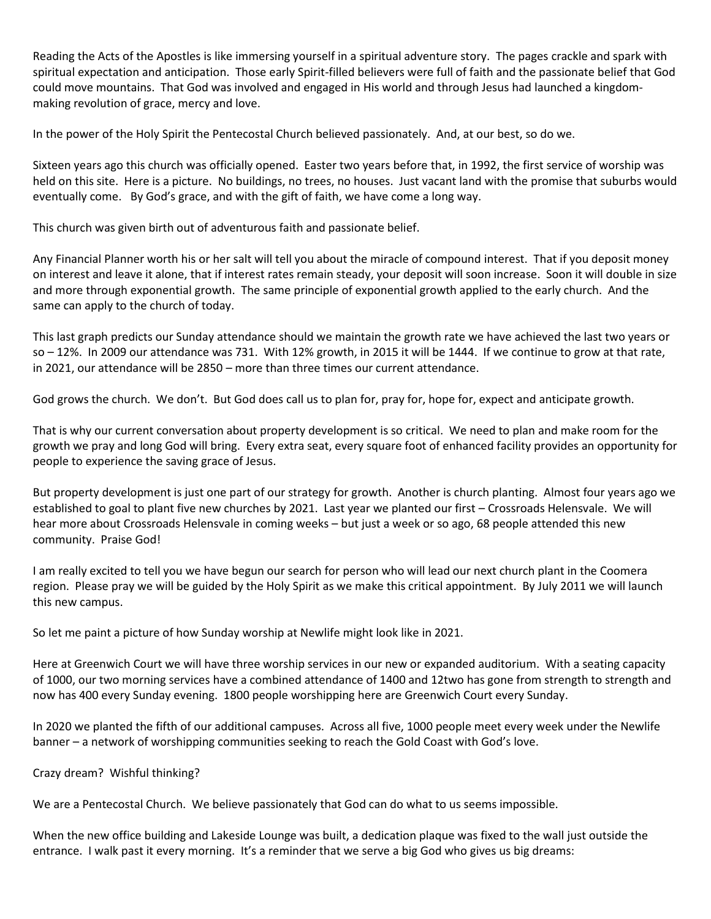Reading the Acts of the Apostles is like immersing yourself in a spiritual adventure story. The pages crackle and spark with spiritual expectation and anticipation. Those early Spirit-filled believers were full of faith and the passionate belief that God could move mountains. That God was involved and engaged in His world and through Jesus had launched a kingdommaking revolution of grace, mercy and love.

In the power of the Holy Spirit the Pentecostal Church believed passionately. And, at our best, so do we.

Sixteen years ago this church was officially opened. Easter two years before that, in 1992, the first service of worship was held on this site. Here is a picture. No buildings, no trees, no houses. Just vacant land with the promise that suburbs would eventually come. By God's grace, and with the gift of faith, we have come a long way.

This church was given birth out of adventurous faith and passionate belief.

Any Financial Planner worth his or her salt will tell you about the miracle of compound interest. That if you deposit money on interest and leave it alone, that if interest rates remain steady, your deposit will soon increase. Soon it will double in size and more through exponential growth. The same principle of exponential growth applied to the early church. And the same can apply to the church of today.

This last graph predicts our Sunday attendance should we maintain the growth rate we have achieved the last two years or so – 12%. In 2009 our attendance was 731. With 12% growth, in 2015 it will be 1444. If we continue to grow at that rate, in 2021, our attendance will be 2850 – more than three times our current attendance.

God grows the church. We don't. But God does call us to plan for, pray for, hope for, expect and anticipate growth.

That is why our current conversation about property development is so critical. We need to plan and make room for the growth we pray and long God will bring. Every extra seat, every square foot of enhanced facility provides an opportunity for people to experience the saving grace of Jesus.

But property development is just one part of our strategy for growth. Another is church planting. Almost four years ago we established to goal to plant five new churches by 2021. Last year we planted our first – Crossroads Helensvale. We will hear more about Crossroads Helensvale in coming weeks – but just a week or so ago, 68 people attended this new community. Praise God!

I am really excited to tell you we have begun our search for person who will lead our next church plant in the Coomera region. Please pray we will be guided by the Holy Spirit as we make this critical appointment. By July 2011 we will launch this new campus.

So let me paint a picture of how Sunday worship at Newlife might look like in 2021.

Here at Greenwich Court we will have three worship services in our new or expanded auditorium. With a seating capacity of 1000, our two morning services have a combined attendance of 1400 and 12two has gone from strength to strength and now has 400 every Sunday evening. 1800 people worshipping here are Greenwich Court every Sunday.

In 2020 we planted the fifth of our additional campuses. Across all five, 1000 people meet every week under the Newlife banner – a network of worshipping communities seeking to reach the Gold Coast with God's love.

Crazy dream? Wishful thinking?

We are a Pentecostal Church. We believe passionately that God can do what to us seems impossible.

When the new office building and Lakeside Lounge was built, a dedication plaque was fixed to the wall just outside the entrance. I walk past it every morning. It's a reminder that we serve a big God who gives us big dreams: